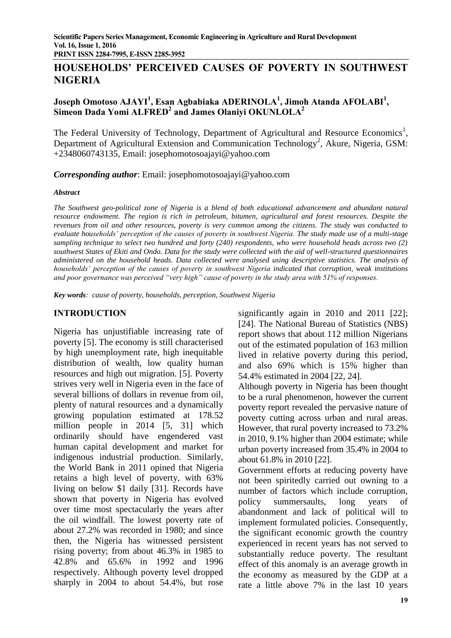**HOUSEHOLDS' PERCEIVED CAUSES OF POVERTY IN SOUTHWEST NIGERIA** 

# **Joseph Omotoso AJAYI<sup>1</sup> , Esan Agbabiaka ADERINOLA<sup>1</sup> , Jimoh Atanda AFOLABI<sup>1</sup> , Simeon Dada Yomi ALFRED<sup>2</sup> and James Olaniyi OKUNLOLA<sup>2</sup>**

The Federal University of Technology, Department of Agricultural and Resource Economics<sup>1</sup>, Department of Agricultural Extension and Communication Technology<sup>2</sup>, Akure, Nigeria, GSM: +2348060743135, Email: [josephomotosoajayi@yahoo.com](mailto:josephomotosoajayi@yahoo.com)

*Corresponding author*: Email: [josephomotosoajayi@yahoo.com](mailto:josephomotosoajayi@yahoo.com)

#### *Abstract*

*The Southwest geo-political zone of Nigeria is a blend of both educational advancement and abundant natural resource endowment. The region is rich in petroleum, bitumen, agricultural and forest resources. Despite the revenues from oil and other resources, poverty is very common among the citizens. The study was conducted to evaluate households' perception of the causes of poverty in southwest Nigeria. The study made use of a multi-stage sampling technique to select two hundred and forty (240) respondents, who were household heads across two (2) southwest States of Ekiti and Ondo. Data for the study were collected with the aid of well-structured questionnaires administered on the household heads. Data collected were analysed using descriptive statistics. The analysis of households' perception of the causes of poverty in southwest Nigeria indicated that corruption, weak institutions and poor governance was perceived "very high" cause of poverty in the study area with 51% of responses.* 

*Key words: cause of poverty, households, perception, Southwest Nigeria* 

# **INTRODUCTION**

Nigeria has unjustifiable increasing rate of poverty [5]. The economy is still characterised by high unemployment rate, high inequitable distribution of wealth, low quality human resources and high out migration. [5]. Poverty strives very well in Nigeria even in the face of several billions of dollars in revenue from oil, plenty of natural resources and a dynamically growing population estimated at 178.52 million people in 2014 [5, 31] which ordinarily should have engendered vast human capital development and market for indigenous industrial production. Similarly, the World Bank in 2011 opined that Nigeria retains a high level of poverty, with 63% living on below \$1 daily [31]. Records have shown that poverty in Nigeria has evolved over time most spectacularly the years after the oil windfall. The lowest poverty rate of about 27.2% was recorded in 1980; and since then, the Nigeria has witnessed persistent rising poverty; from about 46.3% in 1985 to 42.8% and 65.6% in 1992 and 1996 respectively. Although poverty level dropped sharply in 2004 to about 54.4%, but rose

significantly again in 2010 and 2011 [22]; [24]. The National Bureau of Statistics (NBS) report shows that about 112 million Nigerians out of the estimated population of 163 million lived in relative poverty during this period, and also 69% which is 15% higher than 54.4% estimated in 2004 [22, 24].

Although poverty in Nigeria has been thought to be a rural phenomenon, however the current poverty report revealed the pervasive nature of poverty cutting across urban and rural areas. However, that rural poverty increased to 73.2% in 2010, 9.1% higher than 2004 estimate; while urban poverty increased from 35.4% in 2004 to about 61.8% in 2010 [22].

Government efforts at reducing poverty have not been spiritedly carried out owning to a number of factors which include corruption, policy summersaults, long years of abandonment and lack of political will to implement formulated policies. Consequently, the significant economic growth the country experienced in recent years has not served to substantially reduce poverty. The resultant effect of this anomaly is an average growth in the economy as measured by the GDP at a rate a little above 7% in the last 10 years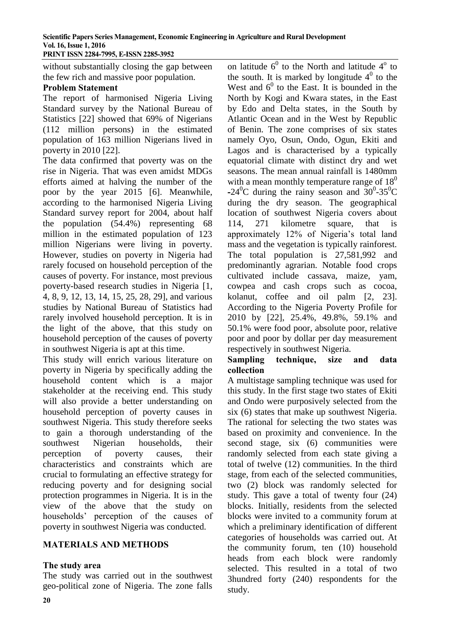without substantially closing the gap between the few rich and massive poor population.

## **Problem Statement**

The report of harmonised Nigeria Living Standard survey by the National Bureau of Statistics [22] showed that 69% of Nigerians (112 million persons) in the estimated population of 163 million Nigerians lived in poverty in 2010 [22].

The data confirmed that poverty was on the rise in Nigeria. That was even amidst MDGs efforts aimed at halving the number of the poor by the year 2015 [6]. Meanwhile, according to the harmonised Nigeria Living Standard survey report for 2004, about half the population (54.4%) representing 68 million in the estimated population of 123 million Nigerians were living in poverty. However, studies on poverty in Nigeria had rarely focused on household perception of the causes of poverty. For instance, most previous poverty-based research studies in Nigeria [1, 4, 8, 9, 12, 13, 14, 15, 25, 28, 29], and various studies by National Bureau of Statistics had rarely involved household perception. It is in the light of the above, that this study on household perception of the causes of poverty in southwest Nigeria is apt at this time.

This study will enrich various literature on poverty in Nigeria by specifically adding the household content which is a major stakeholder at the receiving end. This study will also provide a better understanding on household perception of poverty causes in southwest Nigeria. This study therefore seeks to gain a thorough understanding of the southwest Nigerian households, their perception of poverty causes, their characteristics and constraints which are crucial to formulating an effective strategy for reducing poverty and for designing social protection programmes in Nigeria. It is in the view of the above that the study on households' perception of the causes of poverty in southwest Nigeria was conducted.

# **MATERIALS AND METHODS**

# **The study area**

The study was carried out in the southwest geo-political zone of Nigeria. The zone falls

on latitude  $6^0$  to the North and latitude  $4^{\circ}$  to the south. It is marked by longitude  $4^0$  to the West and  $6^0$  to the East. It is bounded in the North by Kogi and Kwara states, in the East by Edo and Delta states, in the South by Atlantic Ocean and in the West by Republic of Benin. The zone comprises of six states namely Oyo, Osun, Ondo, Ogun, Ekiti and Lagos and is characterised by a typically equatorial climate with distinct dry and wet seasons. The mean annual rainfall is 1480mm with a mean monthly temperature range of  $18<sup>0</sup>$  $-24^{\circ}$ C during the rainy season and  $30^{\circ}$ -35<sup>o</sup>C during the dry season. The geographical location of southwest Nigeria covers about 114, 271 kilometre square, that is approximately 12% of Nigeria's total land mass and the vegetation is typically rainforest. The total population is 27,581,992 and predominantly agrarian. Notable food crops cultivated include cassava, maize, yam, cowpea and cash crops such as cocoa, kolanut, coffee and oil palm [2, 23]. According to the Nigeria Poverty Profile for 2010 by [22], 25.4%, 49.8%, 59.1% and 50.1% were food poor, absolute poor, relative poor and poor by dollar per day measurement respectively in southwest Nigeria.

## **Sampling technique, size and data collection**

A multistage sampling technique was used for this study. In the first stage two states of Ekiti and Ondo were purposively selected from the six (6) states that make up southwest Nigeria. The rational for selecting the two states was based on proximity and convenience. In the second stage, six (6) communities were randomly selected from each state giving a total of twelve (12) communities. In the third stage, from each of the selected communities, two (2) block was randomly selected for study. This gave a total of twenty four (24) blocks. Initially, residents from the selected blocks were invited to a community forum at which a preliminary identification of different categories of households was carried out. At the community forum, ten (10) household heads from each block were randomly selected. This resulted in a total of two 3hundred forty (240) respondents for the study.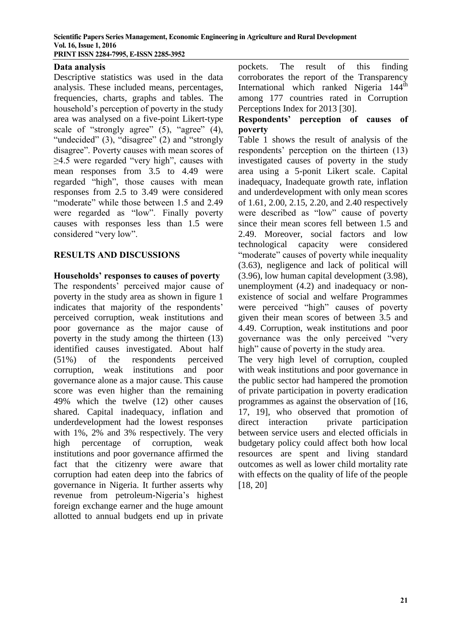## **Data analysis**

Descriptive statistics was used in the data analysis. These included means, percentages, frequencies, charts, graphs and tables. The household's perception of poverty in the study area was analysed on a five-point Likert-type scale of "strongly agree" (5), "agree" (4), "undecided" (3), "disagree" (2) and "strongly disagree". Poverty causes with mean scores of ≥4.5 were regarded "very high", causes with mean responses from 3.5 to 4.49 were regarded "high", those causes with mean responses from 2.5 to 3.49 were considered "moderate" while those between 1.5 and 2.49 were regarded as "low". Finally poverty causes with responses less than 1.5 were considered "very low".

## **RESULTS AND DISCUSSIONS**

# **Households' responses to causes of poverty**

The respondents' perceived major cause of poverty in the study area as shown in figure 1 indicates that majority of the respondents' perceived corruption, weak institutions and poor governance as the major cause of poverty in the study among the thirteen (13) identified causes investigated. About half (51%) of the respondents perceived corruption, weak institutions and poor governance alone as a major cause. This cause score was even higher than the remaining 49% which the twelve (12) other causes shared. Capital inadequacy, inflation and underdevelopment had the lowest responses with 1%, 2% and 3% respectively. The very high percentage of corruption, weak institutions and poor governance affirmed the fact that the citizenry were aware that corruption had eaten deep into the fabrics of governance in Nigeria. It further asserts why revenue from petroleum-Nigeria's highest foreign exchange earner and the huge amount allotted to annual budgets end up in private

pockets. The result of this finding corroborates the report of the Transparency International which ranked Nigeria 144<sup>th</sup> among 177 countries rated in Corruption Perceptions Index for 2013 [30].

## **Respondents' perception of causes of poverty**

Table 1 shows the result of analysis of the respondents' perception on the thirteen (13) investigated causes of poverty in the study area using a 5-ponit Likert scale. Capital inadequacy, Inadequate growth rate, inflation and underdevelopment with only mean scores of 1.61, 2.00, 2.15, 2.20, and 2.40 respectively were described as "low" cause of poverty since their mean scores fell between 1.5 and 2.49. Moreover, social factors and low technological capacity were considered "moderate" causes of poverty while inequality (3.63), negligence and lack of political will (3.96), low human capital development (3.98), unemployment (4.2) and inadequacy or nonexistence of social and welfare Programmes were perceived "high" causes of poverty given their mean scores of between 3.5 and 4.49. Corruption, weak institutions and poor governance was the only perceived "very high" cause of poverty in the study area.

The very high level of corruption, coupled with weak institutions and poor governance in the public sector had hampered the promotion of private participation in poverty eradication programmes as against the observation of [16, 17, 19], who observed that promotion of direct interaction private participation between service users and elected officials in budgetary policy could affect both how local resources are spent and living standard outcomes as well as lower child mortality rate with effects on the quality of life of the people [18, 20]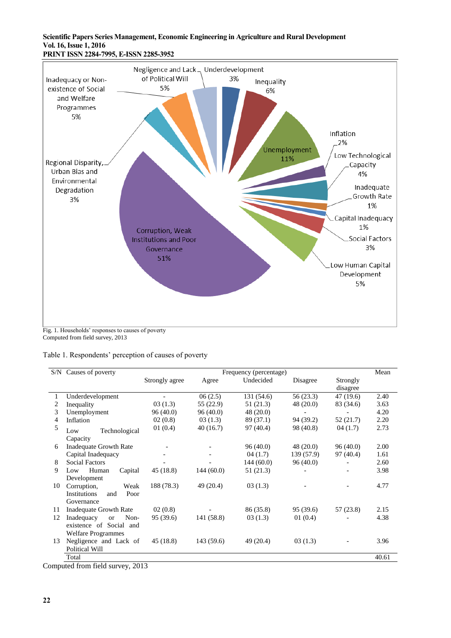#### **Scientific Papers Series Management, Economic Engineering in Agriculture and Rural Development Vol. 16, Issue 1, 2016 PRINT ISSN 2284-7995, E-ISSN 2285-3952**



Fig. 1. Households' responses to causes of poverty Computed from field survey, 2013

| Table 1. Respondents' perception of causes of poverty |  |  |
|-------------------------------------------------------|--|--|
|                                                       |  |  |

|                                 | S/N Causes of poverty           | Frequency (percentage) |            |            |           |           | Mean  |  |  |
|---------------------------------|---------------------------------|------------------------|------------|------------|-----------|-----------|-------|--|--|
|                                 |                                 | Strongly agree         | Agree      | Undecided  | Disagree  | Strongly  |       |  |  |
|                                 |                                 |                        |            |            |           | disagree  |       |  |  |
|                                 | Underdevelopment                |                        | 06(2.5)    | 131 (54.6) | 56(23.3)  | 47(19.6)  | 2.40  |  |  |
| 2                               | Inequality                      | 03(1.3)                | 55 (22.9)  | 51 (21.3)  | 48(20.0)  | 83 (34.6) | 3.63  |  |  |
| 3                               | Unemployment                    | 96(40.0)               | 96(40.0)   | 48 (20.0)  |           |           | 4.20  |  |  |
| 4                               | Inflation                       | 02(0.8)                | 03(1.3)    | 89 (37.1)  | 94 (39.2) | 52(21.7)  | 2.20  |  |  |
| 5                               | Technological<br>Low            | 01(0.4)                | 40(16.7)   | 97 (40.4)  | 98 (40.8) | 04(1.7)   | 2.73  |  |  |
|                                 | Capacity                        |                        |            |            |           |           |       |  |  |
| 6                               | Inadequate Growth Rate          |                        |            | 96(40.0)   | 48 (20.0) | 96(40.0)  | 2.00  |  |  |
|                                 | Capital Inadequacy              |                        |            | 04(1.7)    | 139(57.9) | 97 (40.4) | 1.61  |  |  |
| 8                               | <b>Social Factors</b>           |                        |            | 144(60.0)  | 96(40.0)  |           | 2.60  |  |  |
| 9                               | Human<br>Capital<br>Low         | 45 (18.8)              | 144(60.0)  | 51 (21.3)  |           |           | 3.98  |  |  |
|                                 | Development                     |                        |            |            |           |           |       |  |  |
| 10                              | Weak<br>Corruption,             | 188 (78.3)             | 49 (20.4)  | 03(1.3)    |           |           | 4.77  |  |  |
|                                 | Institutions<br>Poor<br>and     |                        |            |            |           |           |       |  |  |
|                                 | Governance                      |                        |            |            |           |           |       |  |  |
| 11                              | <b>Inadequate Growth Rate</b>   | 02(0.8)                |            | 86 (35.8)  | 95 (39.6) | 57 (23.8) | 2.15  |  |  |
| 12                              | Non-<br>Inadequacy<br><b>or</b> | 95 (39.6)              | 141 (58.8) | 03(1.3)    | 01(0.4)   |           | 4.38  |  |  |
|                                 | existence of Social and         |                        |            |            |           |           |       |  |  |
|                                 | <b>Welfare Programmes</b>       |                        |            |            |           |           |       |  |  |
| 13                              | Negligence and Lack of          | 45(18.8)               | 143(59.6)  | 49 (20.4)  | 03(1.3)   |           | 3.96  |  |  |
|                                 | Political Will                  |                        |            |            |           |           |       |  |  |
|                                 | Total                           |                        |            |            |           |           | 40.61 |  |  |
| omnuted from field quriety 2012 |                                 |                        |            |            |           |           |       |  |  |

Computed from field survey, 2013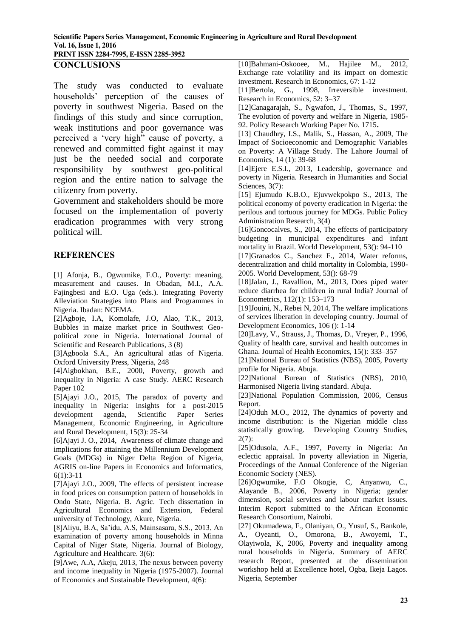**PRINT ISSN 2284-7995, E-ISSN 2285-3952** 

#### **CONCLUSIONS**

The study was conducted to evaluate households' perception of the causes of poverty in southwest Nigeria. Based on the findings of this study and since corruption, weak institutions and poor governance was perceived a 'very high" cause of poverty, a renewed and committed fight against it may just be the needed social and corporate responsibility by southwest geo-political region and the entire nation to salvage the citizenry from poverty.

Government and stakeholders should be more focused on the implementation of poverty eradication programmes with very strong political will.

#### **REFERENCES**

[1] Afonja, B., Ogwumike, F.O., Poverty: meaning, measurement and causes. In Obadan, M.I., A.A. Fajingbesi and E.O. Uga (eds.). Integrating Poverty Alleviation Strategies into Plans and Programmes in Nigeria. Ibadan: NCEMA.

[2]Agboje, I.A, Komolafe, J.O, Alao, T.K., 2013, Bubbles in maize market price in Southwest Geopolitical zone in Nigeria. International Journal of Scientific and Research Publications, 3 (8)

[3]Agboola S.A., An agricultural atlas of Nigeria. Oxford University Press, Nigeria, 248

[4]Aigbokhan, B.E., 2000, Poverty, growth and inequality in Nigeria: A case Study. AERC Research Paper 102

[5]Ajayi J.O., 2015, The paradox of poverty and inequality in Nigeria: insights for a post-2015 development agenda, Scientific Paper Series Management, Economic Engineering, in Agriculture and Rural Development, 15(3): 25-34

[6]Ajayi J. O., 2014, Awareness of climate change and implications for attaining the Millennium Development Goals (MDGs) in Niger Delta Region of Nigeria, AGRIS on-line Papers in Economics and Informatics, 6(1):3-11

[7]Ajayi J.O., 2009, The effects of persistent increase in food prices on consumption pattern of households in Ondo State, Nigeria. B. Agric. Tech dissertation in Agricultural Economics and Extension, Federal university of Technology, Akure, Nigeria.

[8]Aliyu, B.A, Sa'idu, A.S, Mainsasara, S.S., 2013, An examination of poverty among households in Minna Capital of Niger State, Nigeria. Journal of Biology, Agriculture and Healthcare. 3(6):

[9]Awe, A.A, Akeju, 2013, The nexus between poverty and income inequality in Nigeria (1975-2007). Journal of Economics and Sustainable Development, 4(6):

[10]Bahmani-Oskooee, M., Hajilee M., 2012, Exchange rate volatility and its impact on domestic investment. Research in Economics, 67: 1-12

[11]Bertola, G., 1998, Irreversible investment. Research in Economics, 52: 3–37

[12]Canagarajah, S., Ngwafon, J., Thomas, S., 1997, The evolution of poverty and welfare in Nigeria, 1985- 92. Policy Research Working Paper No. 1715**.** 

[13] Chaudhry, I.S., Malik, S., Hassan, A., 2009, The Impact of Socioeconomic and Demographic Variables on Poverty: A Village Study. The Lahore Journal of Economics, 14 (1): 39-68

[14]Ejere E.S.I., 2013, Leadership, governance and poverty in Nigeria. Research in Humanities and Social Sciences, 3(7):

[15] Ejumudo K.B.O., Ejuvwekpokpo S., 2013, The political economy of poverty eradication in Nigeria: the perilous and tortuous journey for MDGs. Public Policy Administration Research, 3(4)

[16]Goncocalves, S., 2014, The effects of participatory budgeting in municipal expenditures and infant mortality in Brazil. World Development, 53(): 94-110

[17]Granados C., Sanchez F., 2014, Water reforms, decentralization and child mortality in Colombia, 1990- 2005. World Development, 53(): 68-79

[18]Jalan, J., Ravallion, M., 2013, Does piped water reduce diarrhea for children in rural India? Journal of Econometrics, 112(1): 153–173

[19]Jouini, N., Rebei N, 2014, The welfare implications of services liberation in developing country. Journal of Development Economics, 106 (): 1-14

[20]Lavy, V., Strauss, J., Thomas, D., Vreyer, P., 1996, Quality of health care, survival and health outcomes in Ghana. Journal of Health Economics, 15(): 333–357

[21]National Bureau of Statistics (NBS), 2005, Poverty profile for Nigeria. Abuja.

[22]National Bureau of Statistics (NBS), 2010, Harmonised Nigeria living standard. Abuja.

[23]National Population Commission, 2006, Census Report.

[24]Oduh M.O., 2012, The dynamics of poverty and income distribution: is the Nigerian middle class statistically growing. Developing Country Studies,  $2(7)$ :

[25]Odusola, A.F., 1997, Poverty in Nigeria: An eclectic appraisal. In poverty alleviation in Nigeria, Proceedings of the Annual Conference of the Nigerian Economic Society (NES).

[26]Ogwumike, F.O Okogie, C, Anyanwu, C., Alayande B., 2006, Poverty in Nigeria; gender dimension, social services and labour market issues. Interim Report submitted to the African Economic Research Consortium, Nairobi.

[27] Okumadewa, F., Olaniyan, O., Yusuf, S., Bankole, A., Oyeanti, O., Omorona, B., Awoyemi, T., Olayiwola, K, 2006, Poverty and inequality among rural households in Nigeria. Summary of AERC research Report, presented at the dissemination workshop held at Excellence hotel, Ogba, Ikeja Lagos. Nigeria, September